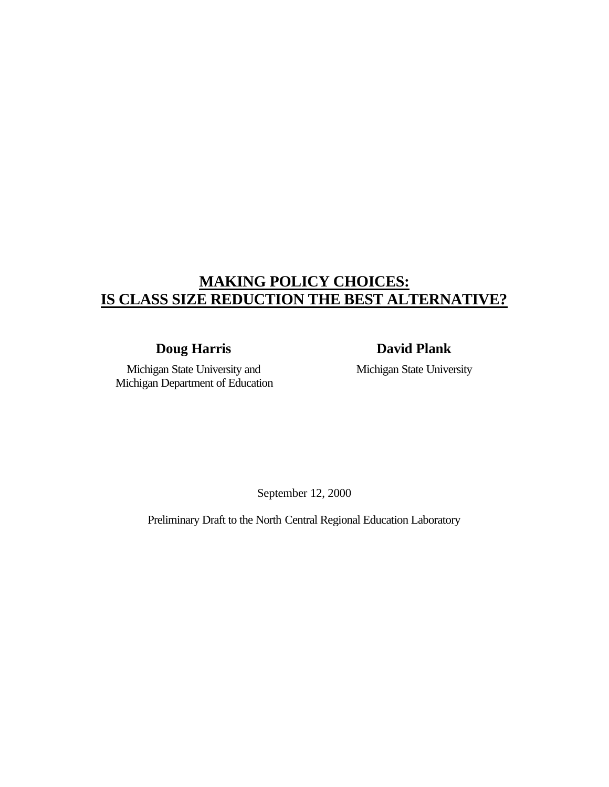# **MAKING POLICY CHOICES: IS CLASS SIZE REDUCTION THE BEST ALTERNATIVE?**

**Doug Harris David Plank**

Michigan State University and Michigan Department of Education Michigan State University

September 12, 2000

Preliminary Draft to the North Central Regional Education Laboratory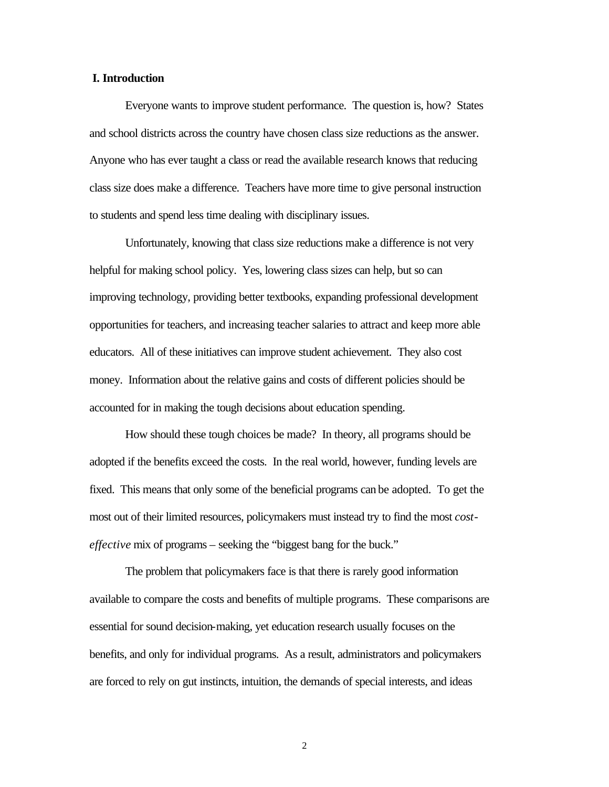#### **I. Introduction**

Everyone wants to improve student performance. The question is, how? States and school districts across the country have chosen class size reductions as the answer. Anyone who has ever taught a class or read the available research knows that reducing class size does make a difference. Teachers have more time to give personal instruction to students and spend less time dealing with disciplinary issues.

Unfortunately, knowing that class size reductions make a difference is not very helpful for making school policy. Yes, lowering class sizes can help, but so can improving technology, providing better textbooks, expanding professional development opportunities for teachers, and increasing teacher salaries to attract and keep more able educators. All of these initiatives can improve student achievement. They also cost money. Information about the relative gains and costs of different policies should be accounted for in making the tough decisions about education spending.

How should these tough choices be made? In theory, all programs should be adopted if the benefits exceed the costs. In the real world, however, funding levels are fixed. This means that only some of the beneficial programs can be adopted. To get the most out of their limited resources, policymakers must instead try to find the most *costeffective* mix of programs – seeking the "biggest bang for the buck."

The problem that policymakers face is that there is rarely good information available to compare the costs and benefits of multiple programs. These comparisons are essential for sound decision-making, yet education research usually focuses on the benefits, and only for individual programs. As a result, administrators and policymakers are forced to rely on gut instincts, intuition, the demands of special interests, and ideas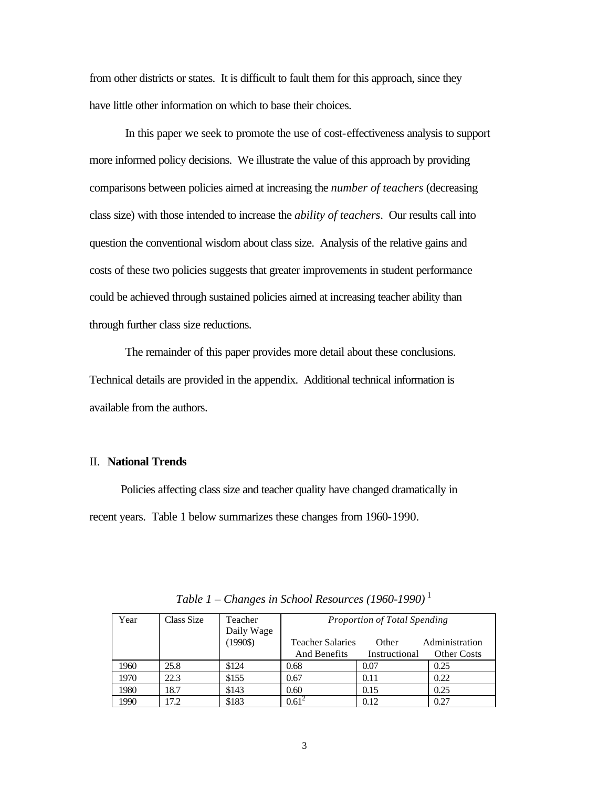from other districts or states. It is difficult to fault them for this approach, since they have little other information on which to base their choices.

In this paper we seek to promote the use of cost-effectiveness analysis to support more informed policy decisions. We illustrate the value of this approach by providing comparisons between policies aimed at increasing the *number of teachers* (decreasing class size) with those intended to increase the *ability of teachers*. Our results call into question the conventional wisdom about class size. Analysis of the relative gains and costs of these two policies suggests that greater improvements in student performance could be achieved through sustained policies aimed at increasing teacher ability than through further class size reductions.

The remainder of this paper provides more detail about these conclusions. Technical details are provided in the appendix. Additional technical information is available from the authors.

#### II. **National Trends**

Policies affecting class size and teacher quality have changed dramatically in recent years. Table 1 below summarizes these changes from 1960-1990.

| Year | Class Size | Teacher<br>Daily Wage | Proportion of Total Spending |               |                    |
|------|------------|-----------------------|------------------------------|---------------|--------------------|
|      |            | $(1990\$              | <b>Teacher Salaries</b>      | Other         | Administration     |
|      |            |                       | And Benefits                 | Instructional | <b>Other Costs</b> |
| 1960 | 25.8       | \$124                 | 0.68                         | 0.07          | 0.25               |
| 1970 | 22.3       | \$155                 | 0.67                         | 0.11          | 0.22               |
| 1980 | 18.7       | \$143                 | 0.60                         | 0.15          | 0.25               |
| 1990 | 17.2       | \$183                 | $0.61^2$                     | 0.12          | 0.27               |

*Table 1 – Changes in School Resources (1960-1990)* <sup>1</sup>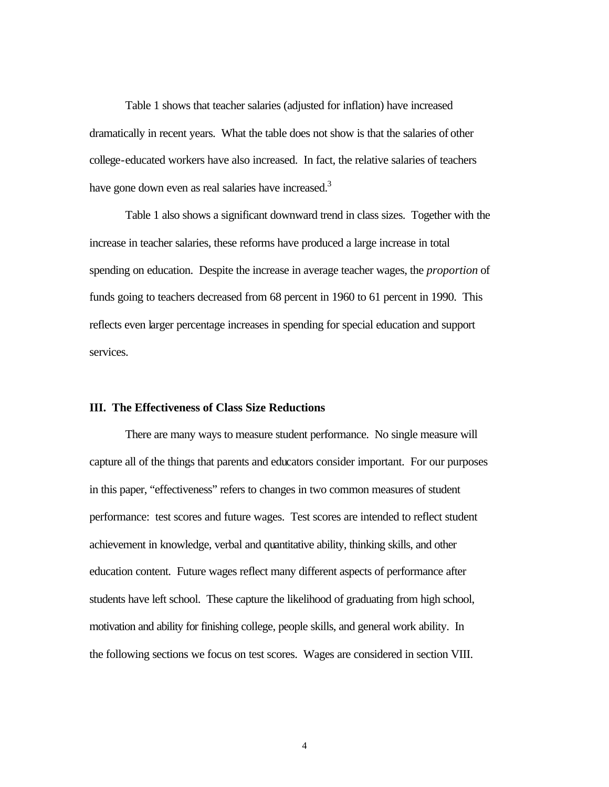Table 1 shows that teacher salaries (adjusted for inflation) have increased dramatically in recent years. What the table does not show is that the salaries of other college-educated workers have also increased. In fact, the relative salaries of teachers have gone down even as real salaries have increased.<sup>3</sup>

Table 1 also shows a significant downward trend in class sizes. Together with the increase in teacher salaries, these reforms have produced a large increase in total spending on education. Despite the increase in average teacher wages, the *proportion* of funds going to teachers decreased from 68 percent in 1960 to 61 percent in 1990. This reflects even larger percentage increases in spending for special education and support services.

#### **III. The Effectiveness of Class Size Reductions**

There are many ways to measure student performance. No single measure will capture all of the things that parents and educators consider important. For our purposes in this paper, "effectiveness" refers to changes in two common measures of student performance: test scores and future wages. Test scores are intended to reflect student achievement in knowledge, verbal and quantitative ability, thinking skills, and other education content. Future wages reflect many different aspects of performance after students have left school. These capture the likelihood of graduating from high school, motivation and ability for finishing college, people skills, and general work ability. In the following sections we focus on test scores. Wages are considered in section VIII.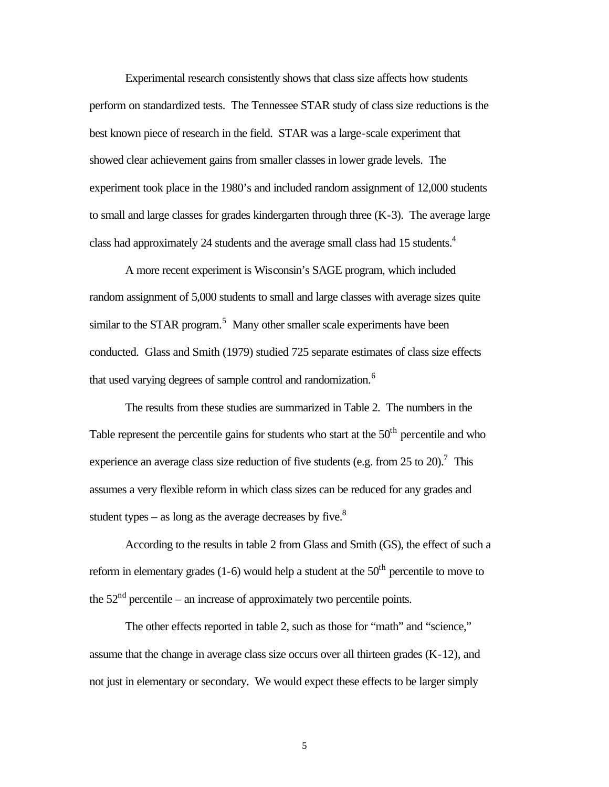Experimental research consistently shows that class size affects how students perform on standardized tests. The Tennessee STAR study of class size reductions is the best known piece of research in the field. STAR was a large-scale experiment that showed clear achievement gains from smaller classes in lower grade levels. The experiment took place in the 1980's and included random assignment of 12,000 students to small and large classes for grades kindergarten through three  $(K-3)$ . The average large class had approximately 24 students and the average small class had 15 students.<sup>4</sup>

A more recent experiment is Wisconsin's SAGE program, which included random assignment of 5,000 students to small and large classes with average sizes quite similar to the STAR program.<sup>5</sup> Many other smaller scale experiments have been conducted. Glass and Smith (1979) studied 725 separate estimates of class size effects that used varying degrees of sample control and randomization.<sup>6</sup>

The results from these studies are summarized in Table 2. The numbers in the Table represent the percentile gains for students who start at the  $50<sup>th</sup>$  percentile and who experience an average class size reduction of five students (e.g. from 25 to 20).<sup>7</sup> This assumes a very flexible reform in which class sizes can be reduced for any grades and student types – as long as the average decreases by five. $8<sup>8</sup>$ 

According to the results in table 2 from Glass and Smith (GS), the effect of such a reform in elementary grades (1-6) would help a student at the  $50<sup>th</sup>$  percentile to move to the  $52<sup>nd</sup>$  percentile – an increase of approximately two percentile points.

The other effects reported in table 2, such as those for "math" and "science," assume that the change in average class size occurs over all thirteen grades (K-12), and not just in elementary or secondary. We would expect these effects to be larger simply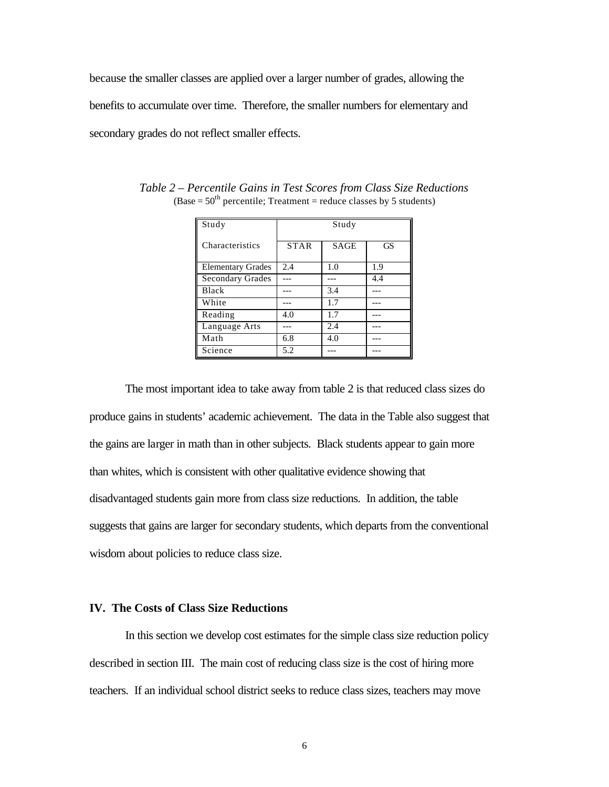because the smaller classes are applied over a larger number of grades, allowing the benefits to accumulate over time. Therefore, the smaller numbers for elementary and secondary grades do not reflect smaller effects.

| Study                    | Study       |             |           |  |
|--------------------------|-------------|-------------|-----------|--|
| Characteristics          | <b>STAR</b> | <b>SAGE</b> | <b>GS</b> |  |
| <b>Elementary Grades</b> | 2.4         | 1.0         | 1.9       |  |
| <b>Secondary Grades</b>  |             |             | 4.4       |  |
| Black                    |             | 3.4         |           |  |
| White                    |             | 1.7         |           |  |
| Reading                  | 4.0         | 1.7         |           |  |
| Language Arts            |             | 2.4         |           |  |
| Math                     | 6.8         | 4.0         |           |  |
| Science                  | 5.2         |             |           |  |

*Table 2 – Percentile Gains in Test Scores from Class Size Reductions*  $(Base = 50<sup>th</sup>$  percentile; Treatment = reduce classes by 5 students)

The most important idea to take away from table 2 is that reduced class sizes do produce gains in students' academic achievement. The data in the Table also suggest that the gains are larger in math than in other subjects. Black students appear to gain more than whites, which is consistent with other qualitative evidence showing that disadvantaged students gain more from class size reductions. In addition, the table suggests that gains are larger for secondary students, which departs from the conventional wisdom about policies to reduce class size.

#### **IV. The Costs of Class Size Reductions**

In this section we develop cost estimates for the simple class size reduction policy described in section III. The main cost of reducing class size is the cost of hiring more teachers. If an individual school district seeks to reduce class sizes, teachers may move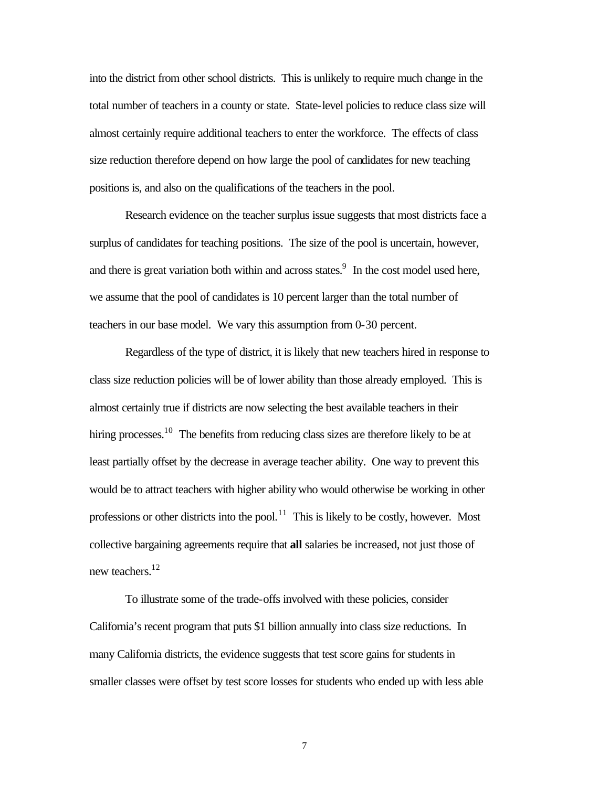into the district from other school districts. This is unlikely to require much change in the total number of teachers in a county or state. State-level policies to reduce class size will almost certainly require additional teachers to enter the workforce. The effects of class size reduction therefore depend on how large the pool of candidates for new teaching positions is, and also on the qualifications of the teachers in the pool.

Research evidence on the teacher surplus issue suggests that most districts face a surplus of candidates for teaching positions. The size of the pool is uncertain, however, and there is great variation both within and across states.<sup>9</sup> In the cost model used here, we assume that the pool of candidates is 10 percent larger than the total number of teachers in our base model. We vary this assumption from 0-30 percent.

Regardless of the type of district, it is likely that new teachers hired in response to class size reduction policies will be of lower ability than those already employed. This is almost certainly true if districts are now selecting the best available teachers in their hiring processes.<sup>10</sup> The benefits from reducing class sizes are therefore likely to be at least partially offset by the decrease in average teacher ability. One way to prevent this would be to attract teachers with higher ability who would otherwise be working in other professions or other districts into the pool.<sup>11</sup> This is likely to be costly, however. Most collective bargaining agreements require that **all** salaries be increased, not just those of new teachers.<sup>12</sup>

To illustrate some of the trade-offs involved with these policies, consider California's recent program that puts \$1 billion annually into class size reductions. In many California districts, the evidence suggests that test score gains for students in smaller classes were offset by test score losses for students who ended up with less able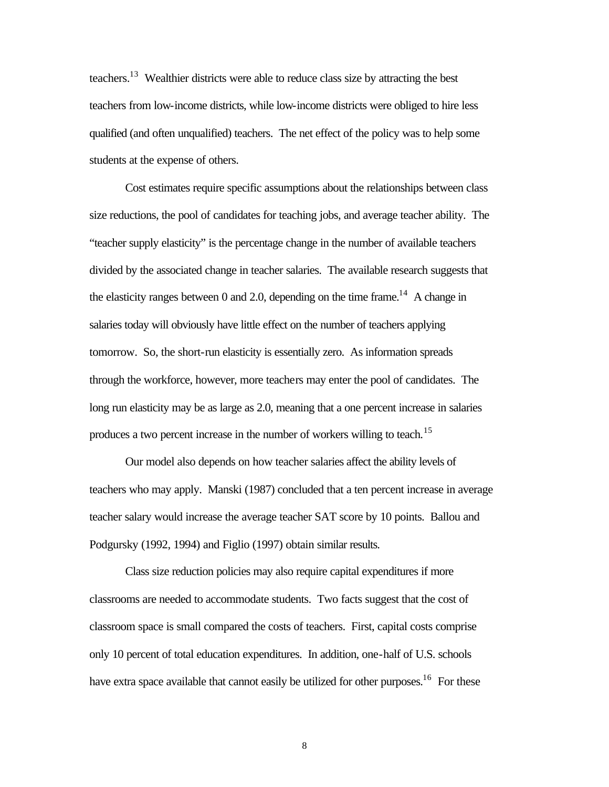teachers.<sup>13</sup> Wealthier districts were able to reduce class size by attracting the best teachers from low-income districts, while low-income districts were obliged to hire less qualified (and often unqualified) teachers. The net effect of the policy was to help some students at the expense of others.

Cost estimates require specific assumptions about the relationships between class size reductions, the pool of candidates for teaching jobs, and average teacher ability. The "teacher supply elasticity" is the percentage change in the number of available teachers divided by the associated change in teacher salaries. The available research suggests that the elasticity ranges between 0 and 2.0, depending on the time frame.<sup>14</sup> A change in salaries today will obviously have little effect on the number of teachers applying tomorrow. So, the short-run elasticity is essentially zero. As information spreads through the workforce, however, more teachers may enter the pool of candidates. The long run elasticity may be as large as 2.0, meaning that a one percent increase in salaries produces a two percent increase in the number of workers willing to teach.<sup>15</sup>

Our model also depends on how teacher salaries affect the ability levels of teachers who may apply. Manski (1987) concluded that a ten percent increase in average teacher salary would increase the average teacher SAT score by 10 points. Ballou and Podgursky (1992, 1994) and Figlio (1997) obtain similar results.

Class size reduction policies may also require capital expenditures if more classrooms are needed to accommodate students. Two facts suggest that the cost of classroom space is small compared the costs of teachers. First, capital costs comprise only 10 percent of total education expenditures. In addition, one-half of U.S. schools have extra space available that cannot easily be utilized for other purposes.<sup>16</sup> For these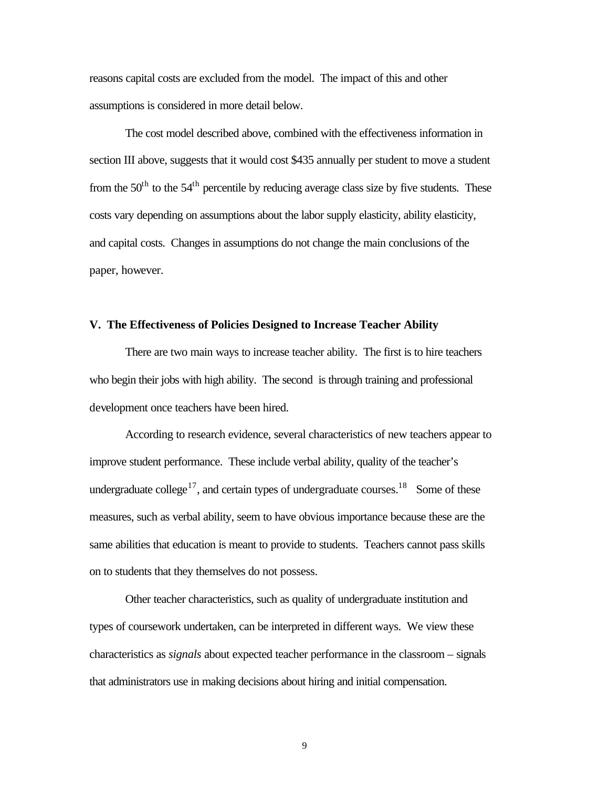reasons capital costs are excluded from the model. The impact of this and other assumptions is considered in more detail below.

The cost model described above, combined with the effectiveness information in section III above, suggests that it would cost \$435 annually per student to move a student from the  $50<sup>th</sup>$  to the  $54<sup>th</sup>$  percentile by reducing average class size by five students. These costs vary depending on assumptions about the labor supply elasticity, ability elasticity, and capital costs. Changes in assumptions do not change the main conclusions of the paper, however.

# **V. The Effectiveness of Policies Designed to Increase Teacher Ability**

There are two main ways to increase teacher ability. The first is to hire teachers who begin their jobs with high ability. The second is through training and professional development once teachers have been hired.

According to research evidence, several characteristics of new teachers appear to improve student performance. These include verbal ability, quality of the teacher's undergraduate college<sup>17</sup>, and certain types of undergraduate courses.<sup>18</sup> Some of these measures, such as verbal ability, seem to have obvious importance because these are the same abilities that education is meant to provide to students. Teachers cannot pass skills on to students that they themselves do not possess.

Other teacher characteristics, such as quality of undergraduate institution and types of coursework undertaken, can be interpreted in different ways. We view these characteristics as *signals* about expected teacher performance in the classroom – signals that administrators use in making decisions about hiring and initial compensation.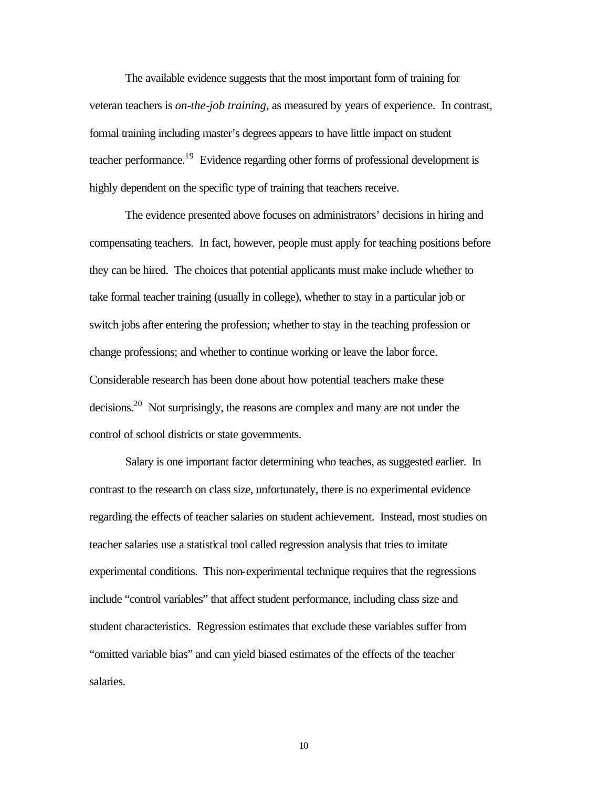The available evidence suggests that the most important form of training for veteran teachers is *on-the-job training*, as measured by years of experience. In contrast, formal training including master's degrees appears to have little impact on student teacher performance.<sup>19</sup> Evidence regarding other forms of professional development is highly dependent on the specific type of training that teachers receive.

The evidence presented above focuses on administrators' decisions in hiring and compensating teachers. In fact, however, people must apply for teaching positions before they can be hired. The choices that potential applicants must make include whether to take formal teacher training (usually in college), whether to stay in a particular job or switch jobs after entering the profession; whether to stay in the teaching profession or change professions; and whether to continue working or leave the labor force. Considerable research has been done about how potential teachers make these decisions.<sup>20</sup> Not surprisingly, the reasons are complex and many are not under the control of school districts or state governments.

Salary is one important factor determining who teaches, as suggested earlier. In contrast to the research on class size, unfortunately, there is no experimental evidence regarding the effects of teacher salaries on student achievement. Instead, most studies on teacher salaries use a statistical tool called regression analysis that tries to imitate experimental conditions. This non-experimental technique requires that the regressions include "control variables" that affect student performance, including class size and student characteristics. Regression estimates that exclude these variables suffer from "omitted variable bias" and can yield biased estimates of the effects of the teacher salaries.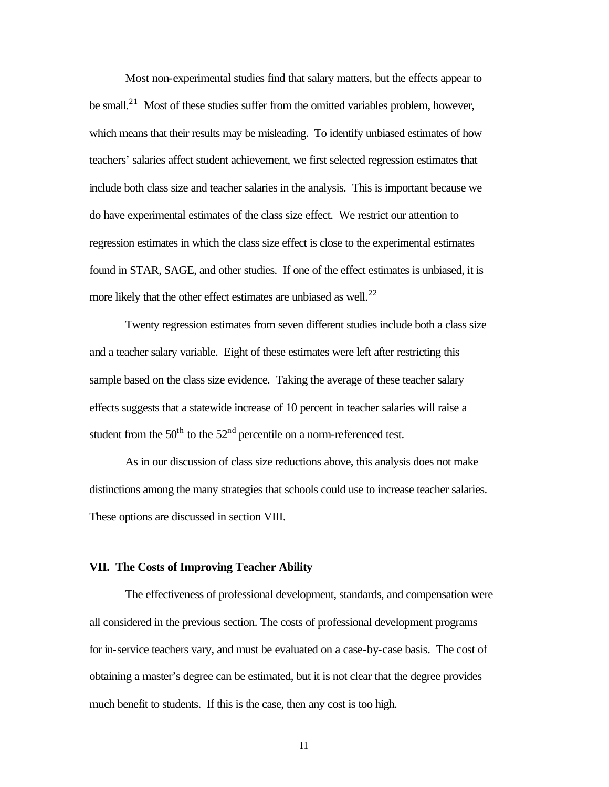Most non-experimental studies find that salary matters, but the effects appear to be small.<sup>21</sup> Most of these studies suffer from the omitted variables problem, however, which means that their results may be misleading. To identify unbiased estimates of how teachers' salaries affect student achievement, we first selected regression estimates that include both class size and teacher salaries in the analysis. This is important because we do have experimental estimates of the class size effect. We restrict our attention to regression estimates in which the class size effect is close to the experimental estimates found in STAR, SAGE, and other studies. If one of the effect estimates is unbiased, it is more likely that the other effect estimates are unbiased as well.<sup>22</sup>

Twenty regression estimates from seven different studies include both a class size and a teacher salary variable. Eight of these estimates were left after restricting this sample based on the class size evidence. Taking the average of these teacher salary effects suggests that a statewide increase of 10 percent in teacher salaries will raise a student from the  $50<sup>th</sup>$  to the  $52<sup>nd</sup>$  percentile on a norm-referenced test.

As in our discussion of class size reductions above, this analysis does not make distinctions among the many strategies that schools could use to increase teacher salaries. These options are discussed in section VIII.

#### **VII. The Costs of Improving Teacher Ability**

The effectiveness of professional development, standards, and compensation were all considered in the previous section. The costs of professional development programs for in-service teachers vary, and must be evaluated on a case-by-case basis. The cost of obtaining a master's degree can be estimated, but it is not clear that the degree provides much benefit to students. If this is the case, then any cost is too high.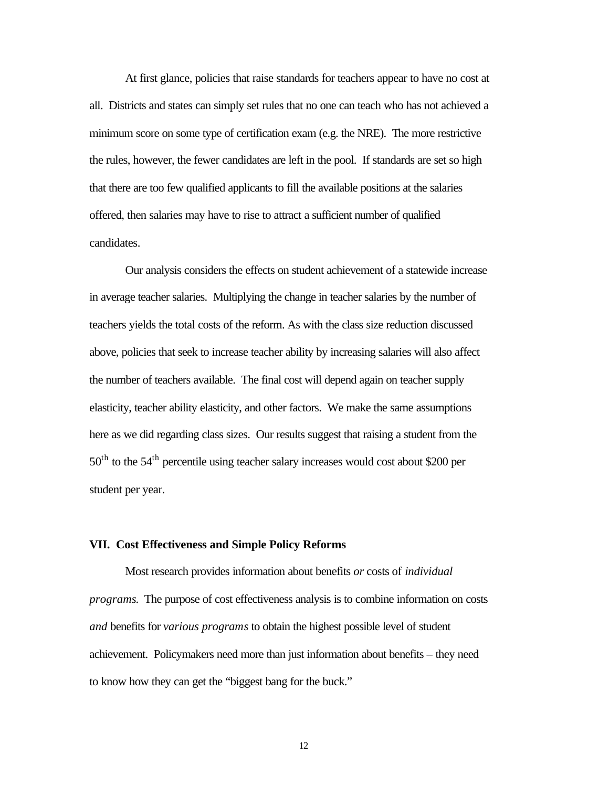At first glance, policies that raise standards for teachers appear to have no cost at all. Districts and states can simply set rules that no one can teach who has not achieved a minimum score on some type of certification exam (e.g. the NRE). The more restrictive the rules, however, the fewer candidates are left in the pool. If standards are set so high that there are too few qualified applicants to fill the available positions at the salaries offered, then salaries may have to rise to attract a sufficient number of qualified candidates.

Our analysis considers the effects on student achievement of a statewide increase in average teacher salaries. Multiplying the change in teacher salaries by the number of teachers yields the total costs of the reform. As with the class size reduction discussed above, policies that seek to increase teacher ability by increasing salaries will also affect the number of teachers available. The final cost will depend again on teacher supply elasticity, teacher ability elasticity, and other factors.We make the same assumptions here as we did regarding class sizes. Our results suggest that raising a student from the 50<sup>th</sup> to the 54<sup>th</sup> percentile using teacher salary increases would cost about \$200 per student per year.

# **VII. Cost Effectiveness and Simple Policy Reforms**

Most research provides information about benefits *or* costs of *individual programs*. The purpose of cost effectiveness analysis is to combine information on costs *and* benefits for *various programs* to obtain the highest possible level of student achievement. Policymakers need more than just information about benefits – they need to know how they can get the "biggest bang for the buck."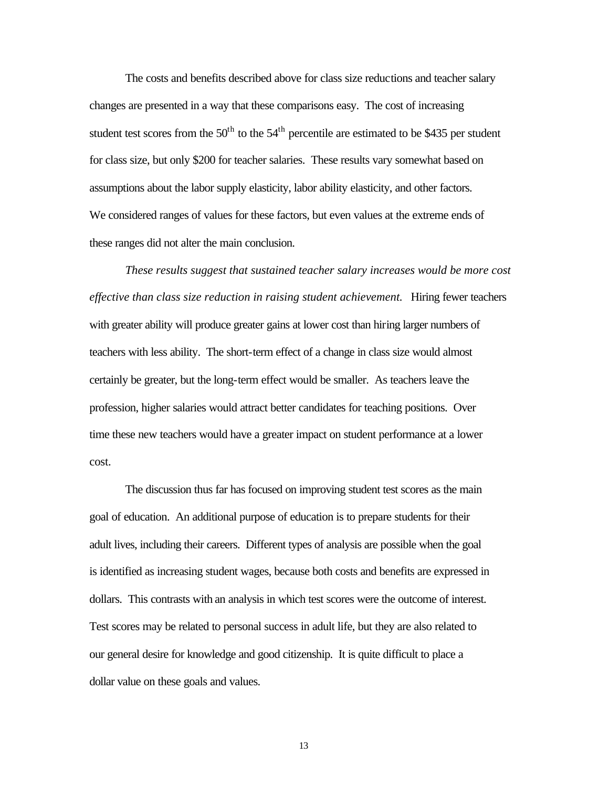The costs and benefits described above for class size reductions and teacher salary changes are presented in a way that these comparisons easy. The cost of increasing student test scores from the  $50<sup>th</sup>$  to the  $54<sup>th</sup>$  percentile are estimated to be \$435 per student for class size, but only \$200 for teacher salaries. These results vary somewhat based on assumptions about the labor supply elasticity, labor ability elasticity, and other factors. We considered ranges of values for these factors, but even values at the extreme ends of these ranges did not alter the main conclusion.

*These results suggest that sustained teacher salary increases would be more cost effective than class size reduction in raising student achievement.* Hiring fewer teachers with greater ability will produce greater gains at lower cost than hiring larger numbers of teachers with less ability. The short-term effect of a change in class size would almost certainly be greater, but the long-term effect would be smaller. As teachers leave the profession, higher salaries would attract better candidates for teaching positions. Over time these new teachers would have a greater impact on student performance at a lower cost.

The discussion thus far has focused on improving student test scores as the main goal of education. An additional purpose of education is to prepare students for their adult lives, including their careers. Different types of analysis are possible when the goal is identified as increasing student wages, because both costs and benefits are expressed in dollars. This contrasts with an analysis in which test scores were the outcome of interest. Test scores may be related to personal success in adult life, but they are also related to our general desire for knowledge and good citizenship. It is quite difficult to place a dollar value on these goals and values.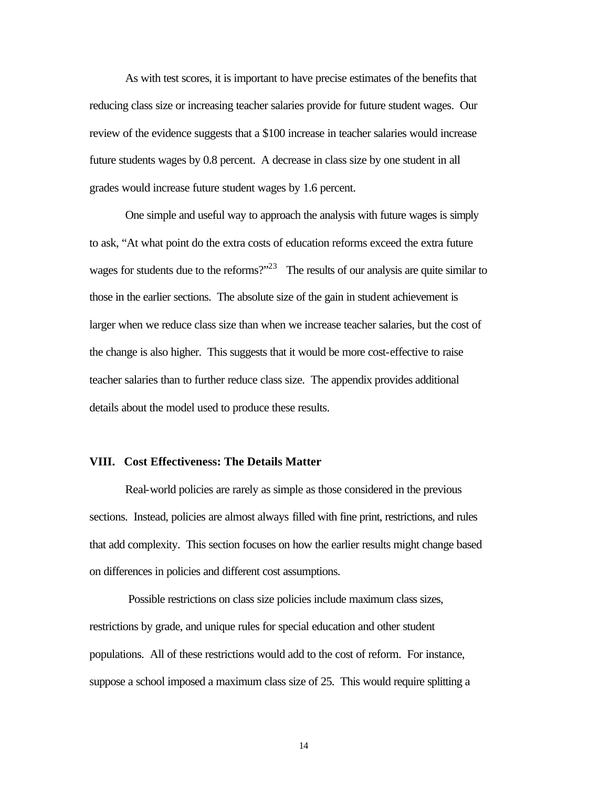As with test scores, it is important to have precise estimates of the benefits that reducing class size or increasing teacher salaries provide for future student wages. Our review of the evidence suggests that a \$100 increase in teacher salaries would increase future students wages by 0.8 percent. A decrease in class size by one student in all grades would increase future student wages by 1.6 percent.

One simple and useful way to approach the analysis with future wages is simply to ask, "At what point do the extra costs of education reforms exceed the extra future wages for students due to the reforms?"<sup>23</sup> The results of our analysis are quite similar to those in the earlier sections. The absolute size of the gain in student achievement is larger when we reduce class size than when we increase teacher salaries, but the cost of the change is also higher. This suggests that it would be more cost-effective to raise teacher salaries than to further reduce class size. The appendix provides additional details about the model used to produce these results.

### **VIII. Cost Effectiveness: The Details Matter**

Real-world policies are rarely as simple as those considered in the previous sections. Instead, policies are almost always filled with fine print, restrictions, and rules that add complexity. This section focuses on how the earlier results might change based on differences in policies and different cost assumptions.

 Possible restrictions on class size policies include maximum class sizes, restrictions by grade, and unique rules for special education and other student populations. All of these restrictions would add to the cost of reform. For instance, suppose a school imposed a maximum class size of 25. This would require splitting a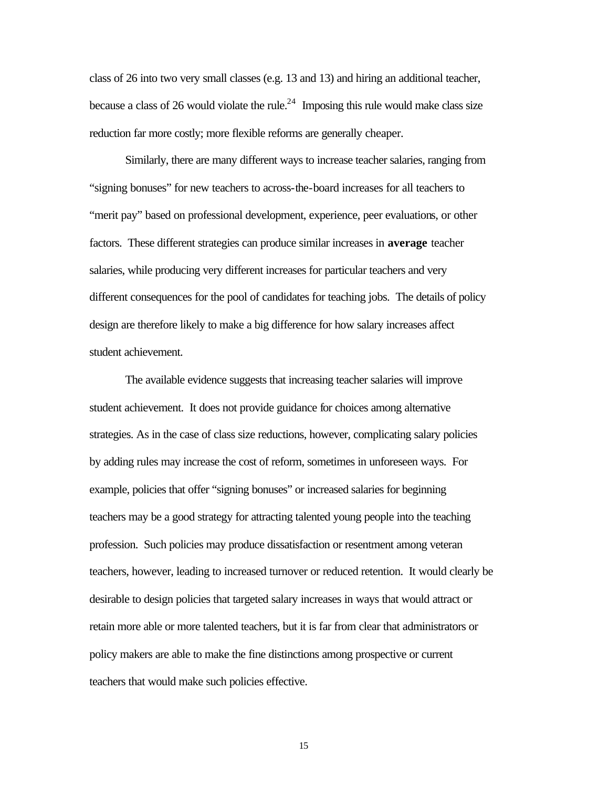class of 26 into two very small classes (e.g. 13 and 13) and hiring an additional teacher, because a class of 26 would violate the rule.<sup>24</sup> Imposing this rule would make class size reduction far more costly; more flexible reforms are generally cheaper.

Similarly, there are many different ways to increase teacher salaries, ranging from "signing bonuses" for new teachers to across-the-board increases for all teachers to "merit pay" based on professional development, experience, peer evaluations, or other factors. These different strategies can produce similar increases in **average** teacher salaries, while producing very different increases for particular teachers and very different consequences for the pool of candidates for teaching jobs. The details of policy design are therefore likely to make a big difference for how salary increases affect student achievement.

The available evidence suggests that increasing teacher salaries will improve student achievement. It does not provide guidance for choices among alternative strategies. As in the case of class size reductions, however, complicating salary policies by adding rules may increase the cost of reform, sometimes in unforeseen ways. For example, policies that offer "signing bonuses" or increased salaries for beginning teachers may be a good strategy for attracting talented young people into the teaching profession. Such policies may produce dissatisfaction or resentment among veteran teachers, however, leading to increased turnover or reduced retention. It would clearly be desirable to design policies that targeted salary increases in ways that would attract or retain more able or more talented teachers, but it is far from clear that administrators or policy makers are able to make the fine distinctions among prospective or current teachers that would make such policies effective.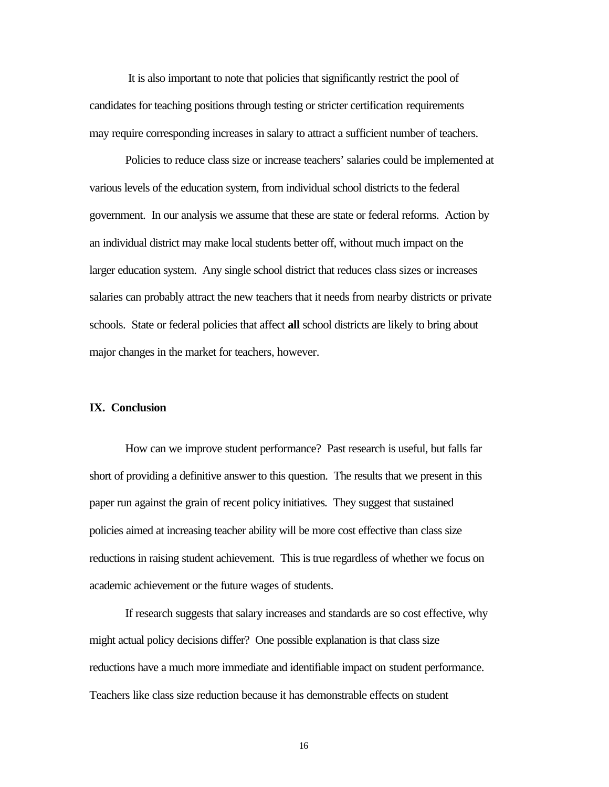It is also important to note that policies that significantly restrict the pool of candidates for teaching positions through testing or stricter certification requirements may require corresponding increases in salary to attract a sufficient number of teachers.

Policies to reduce class size or increase teachers' salaries could be implemented at various levels of the education system, from individual school districts to the federal government. In our analysis we assume that these are state or federal reforms. Action by an individual district may make local students better off, without much impact on the larger education system. Any single school district that reduces class sizes or increases salaries can probably attract the new teachers that it needs from nearby districts or private schools. State or federal policies that affect **all** school districts are likely to bring about major changes in the market for teachers, however.

#### **IX. Conclusion**

How can we improve student performance? Past research is useful, but falls far short of providing a definitive answer to this question. The results that we present in this paper run against the grain of recent policy initiatives. They suggest that sustained policies aimed at increasing teacher ability will be more cost effective than class size reductions in raising student achievement. This is true regardless of whether we focus on academic achievement or the future wages of students.

If research suggests that salary increases and standards are so cost effective, why might actual policy decisions differ? One possible explanation is that class size reductions have a much more immediate and identifiable impact on student performance. Teachers like class size reduction because it has demonstrable effects on student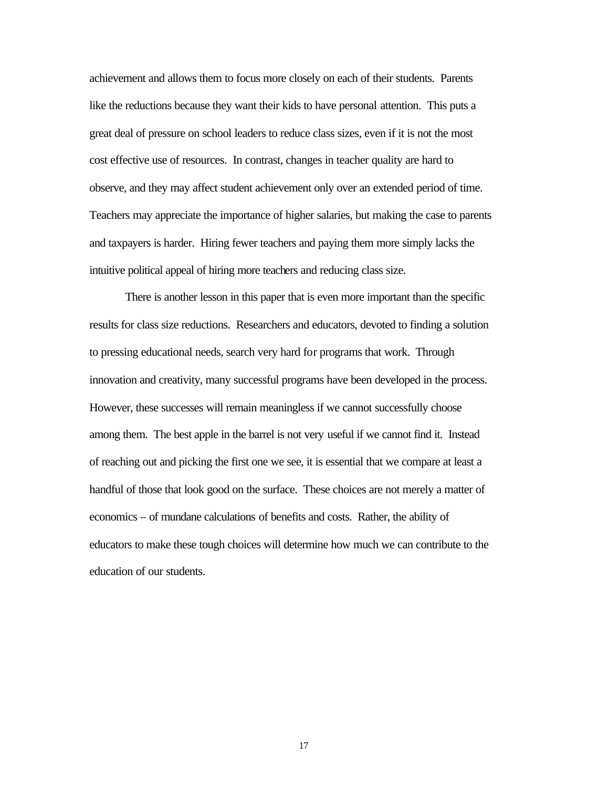achievement and allows them to focus more closely on each of their students. Parents like the reductions because they want their kids to have personal attention. This puts a great deal of pressure on school leaders to reduce class sizes, even if it is not the most cost effective use of resources. In contrast, changes in teacher quality are hard to observe, and they may affect student achievement only over an extended period of time. Teachers may appreciate the importance of higher salaries, but making the case to parents and taxpayers is harder. Hiring fewer teachers and paying them more simply lacks the intuitive political appeal of hiring more teachers and reducing class size.

There is another lesson in this paper that is even more important than the specific results for class size reductions. Researchers and educators, devoted to finding a solution to pressing educational needs, search very hard for programs that work. Through innovation and creativity, many successful programs have been developed in the process. However, these successes will remain meaningless if we cannot successfully choose among them. The best apple in the barrel is not very useful if we cannot find it. Instead of reaching out and picking the first one we see, it is essential that we compare at least a handful of those that look good on the surface. These choices are not merely a matter of economics – of mundane calculations of benefits and costs. Rather, the ability of educators to make these tough choices will determine how much we can contribute to the education of our students.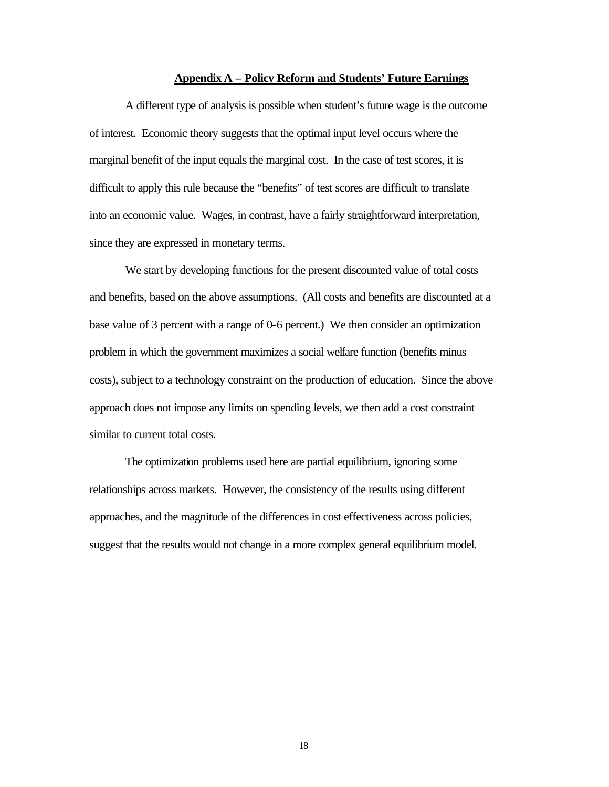#### **Appendix A – Policy Reform and Students' Future Earnings**

A different type of analysis is possible when student's future wage is the outcome of interest. Economic theory suggests that the optimal input level occurs where the marginal benefit of the input equals the marginal cost. In the case of test scores, it is difficult to apply this rule because the "benefits" of test scores are difficult to translate into an economic value. Wages, in contrast, have a fairly straightforward interpretation, since they are expressed in monetary terms.

We start by developing functions for the present discounted value of total costs and benefits, based on the above assumptions. (All costs and benefits are discounted at a base value of 3 percent with a range of 0-6 percent.) We then consider an optimization problem in which the government maximizes a social welfare function (benefits minus costs), subject to a technology constraint on the production of education. Since the above approach does not impose any limits on spending levels, we then add a cost constraint similar to current total costs.

The optimization problems used here are partial equilibrium, ignoring some relationships across markets. However, the consistency of the results using different approaches, and the magnitude of the differences in cost effectiveness across policies, suggest that the results would not change in a more complex general equilibrium model.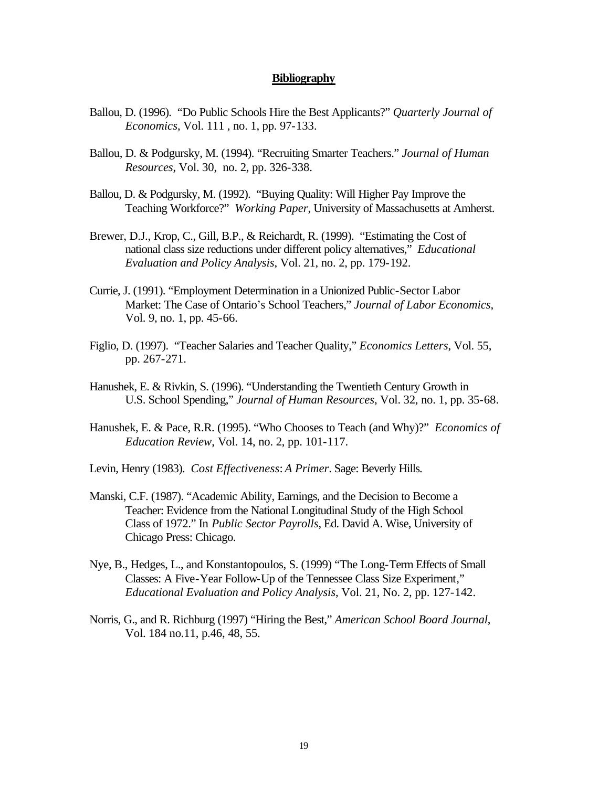#### **Bibliography**

- Ballou, D. (1996). "Do Public Schools Hire the Best Applicants?" *Quarterly Journal of Economics*, Vol. 111 , no. 1, pp. 97-133.
- Ballou, D. & Podgursky, M. (1994). "Recruiting Smarter Teachers." *Journal of Human Resources*, Vol. 30, no. 2, pp. 326-338.
- Ballou, D. & Podgursky, M. (1992). "Buying Quality: Will Higher Pay Improve the Teaching Workforce?" *Working Paper*, University of Massachusetts at Amherst.
- Brewer, D.J., Krop, C., Gill, B.P., & Reichardt, R. (1999). "Estimating the Cost of national class size reductions under different policy alternatives," *Educational Evaluation and Policy Analysis*, Vol. 21, no. 2, pp. 179-192.
- Currie, J. (1991). "Employment Determination in a Unionized Public-Sector Labor Market: The Case of Ontario's School Teachers," *Journal of Labor Economics*, Vol. 9, no. 1, pp. 45-66.
- Figlio, D. (1997). "Teacher Salaries and Teacher Quality," *Economics Letters*, Vol. 55, pp. 267-271.
- Hanushek, E. & Rivkin, S. (1996). "Understanding the Twentieth Century Growth in U.S. School Spending," *Journal of Human Resources*, Vol. 32, no. 1, pp. 35-68.
- Hanushek, E. & Pace, R.R. (1995). "Who Chooses to Teach (and Why)?" *Economics of Education Review*, Vol. 14, no. 2, pp. 101-117.
- Levin, Henry (1983). *Cost Effectiveness*: *A Primer*. Sage: Beverly Hills.
- Manski, C.F. (1987). "Academic Ability, Earnings, and the Decision to Become a Teacher: Evidence from the National Longitudinal Study of the High School Class of 1972." In *Public Sector Payrolls*, Ed. David A. Wise, University of Chicago Press: Chicago.
- Nye, B., Hedges, L., and Konstantopoulos, S. (1999) "The Long-Term Effects of Small Classes: A Five-Year Follow-Up of the Tennessee Class Size Experiment," *Educational Evaluation and Policy Analysis*, Vol. 21, No. 2, pp. 127-142.
- Norris, G., and R. Richburg (1997) "Hiring the Best," *American School Board Journal*, Vol. 184 no.11, p.46, 48, 55.